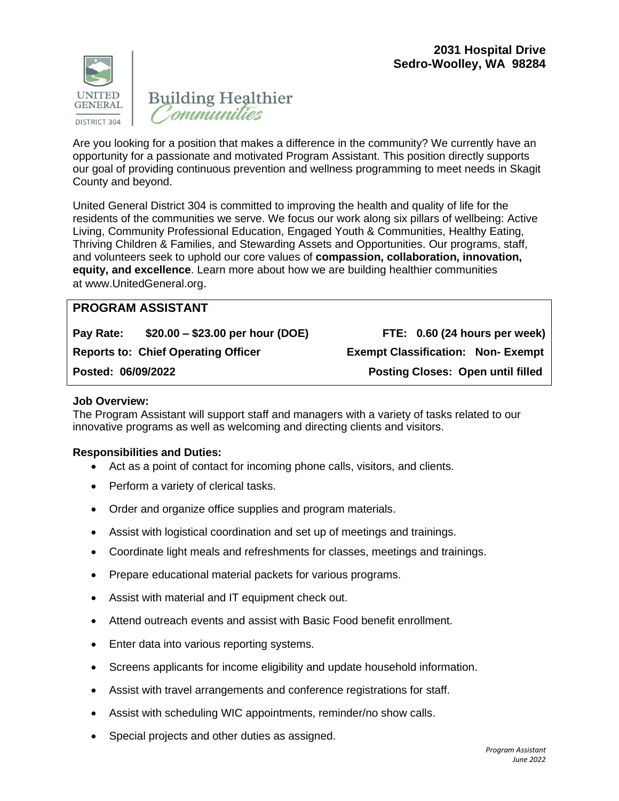



Are you looking for a position that makes a difference in the community? We currently have an opportunity for a passionate and motivated Program Assistant. This position directly supports our goal of providing continuous prevention and wellness programming to meet needs in Skagit County and beyond.

United General District 304 is committed to improving the health and quality of life for the residents of the communities we serve. We focus our work along six pillars of wellbeing: Active Living, Community Professional Education, Engaged Youth & Communities, Healthy Eating, Thriving Children & Families, and Stewarding Assets and Opportunities. Our programs, staff, and volunteers seek to uphold our core values of **compassion, collaboration, innovation, equity, and excellence**. Learn more about how we are building healthier communities at [www.UnitedGeneral.org](http://www.unitedgeneral.org/).

# **PROGRAM ASSISTANT**

**Pay Rate: \$20.00 – \$23.00 per hour (DOE) FTE: 0.60 (24 hours per week) Reports to: Chief Operating Officer Exempt Classification: Non- Exempt**

**Posted: 06/09/2022 Posting Closes: Open until filled**

## **Job Overview:**

The Program Assistant will support staff and managers with a variety of tasks related to our innovative programs as well as welcoming and directing clients and visitors.

### **Responsibilities and Duties:**

- Act as a point of contact for incoming phone calls, visitors, and clients.
- Perform a variety of clerical tasks.
- Order and organize office supplies and program materials.
- Assist with logistical coordination and set up of meetings and trainings.
- Coordinate light meals and refreshments for classes, meetings and trainings.
- Prepare educational material packets for various programs.
- Assist with material and IT equipment check out.
- Attend outreach events and assist with Basic Food benefit enrollment.
- Enter data into various reporting systems.
- Screens applicants for income eligibility and update household information.
- Assist with travel arrangements and conference registrations for staff.
- Assist with scheduling WIC appointments, reminder/no show calls.
- Special projects and other duties as assigned.